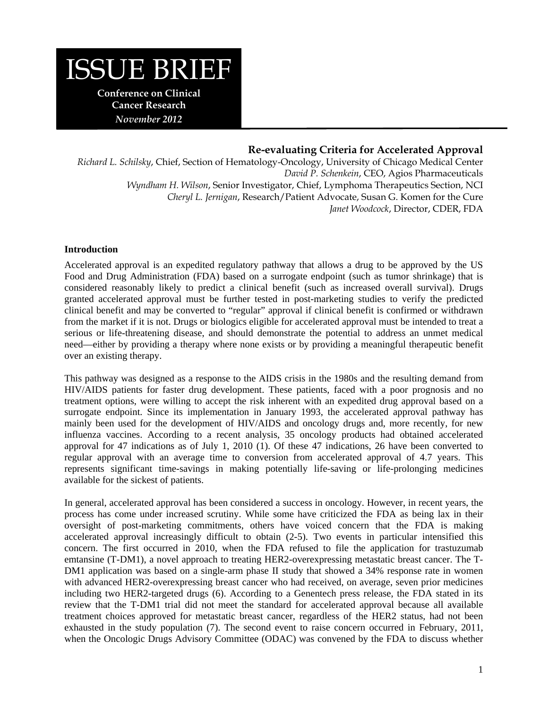# ISSUE BRIEF

**Conference on Clinical Cancer Research**  *November 2012* 

# **Re-evaluating Criteria for Accelerated Approval**

*Richard L. Schilsky*, Chief, Section of Hematology-Oncology, University of Chicago Medical Center *David P. Schenkein*, CEO, Agios Pharmaceuticals *Wyndham H. Wilson*, Senior Investigator, Chief, Lymphoma Therapeutics Section, NCI *Cheryl L. Jernigan*, Research/Patient Advocate, Susan G. Komen for the Cure *Janet Woodcock*, Director, CDER, FDA

## **Introduction**

Accelerated approval is an expedited regulatory pathway that allows a drug to be approved by the US Food and Drug Administration (FDA) based on a surrogate endpoint (such as tumor shrinkage) that is considered reasonably likely to predict a clinical benefit (such as increased overall survival). Drugs granted accelerated approval must be further tested in post-marketing studies to verify the predicted clinical benefit and may be converted to "regular" approval if clinical benefit is confirmed or withdrawn from the market if it is not. Drugs or biologics eligible for accelerated approval must be intended to treat a serious or life-threatening disease, and should demonstrate the potential to address an unmet medical need—either by providing a therapy where none exists or by providing a meaningful therapeutic benefit over an existing therapy.

This pathway was designed as a response to the AIDS crisis in the 1980s and the resulting demand from HIV/AIDS patients for faster drug development. These patients, faced with a poor prognosis and no treatment options, were willing to accept the risk inherent with an expedited drug approval based on a surrogate endpoint. Since its implementation in January 1993, the accelerated approval pathway has mainly been used for the development of HIV/AIDS and oncology drugs and, more recently, for new influenza vaccines. According to a recent analysis, 35 oncology products had obtained accelerated approval for 47 indications as of July 1, 2010 (1). Of these 47 indications, 26 have been converted to regular approval with an average time to conversion from accelerated approval of 4.7 years. This represents significant time-savings in making potentially life-saving or life-prolonging medicines available for the sickest of patients.

In general, accelerated approval has been considered a success in oncology. However, in recent years, the process has come under increased scrutiny. While some have criticized the FDA as being lax in their oversight of post-marketing commitments, others have voiced concern that the FDA is making accelerated approval increasingly difficult to obtain (2-5). Two events in particular intensified this concern. The first occurred in 2010, when the FDA refused to file the application for trastuzumab emtansine (T-DM1), a novel approach to treating HER2-overexpressing metastatic breast cancer. The T-DM1 application was based on a single-arm phase II study that showed a 34% response rate in women with advanced HER2-overexpressing breast cancer who had received, on average, seven prior medicines including two HER2-targeted drugs (6). According to a Genentech press release, the FDA stated in its review that the T-DM1 trial did not meet the standard for accelerated approval because all available treatment choices approved for metastatic breast cancer, regardless of the HER2 status, had not been exhausted in the study population (7). The second event to raise concern occurred in February, 2011, when the Oncologic Drugs Advisory Committee (ODAC) was convened by the FDA to discuss whether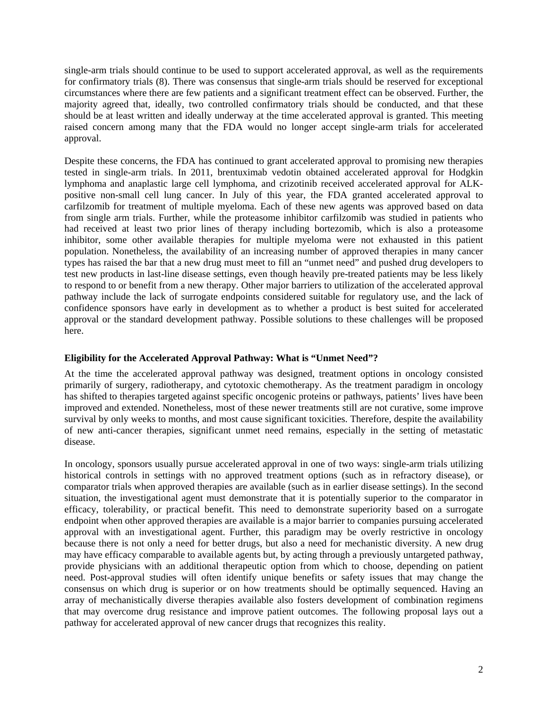single-arm trials should continue to be used to support accelerated approval, as well as the requirements for confirmatory trials (8). There was consensus that single-arm trials should be reserved for exceptional circumstances where there are few patients and a significant treatment effect can be observed. Further, the majority agreed that, ideally, two controlled confirmatory trials should be conducted, and that these should be at least written and ideally underway at the time accelerated approval is granted. This meeting raised concern among many that the FDA would no longer accept single-arm trials for accelerated approval.

Despite these concerns, the FDA has continued to grant accelerated approval to promising new therapies tested in single-arm trials. In 2011, brentuximab vedotin obtained accelerated approval for Hodgkin lymphoma and anaplastic large cell lymphoma, and crizotinib received accelerated approval for ALKpositive non-small cell lung cancer. In July of this year, the FDA granted accelerated approval to carfilzomib for treatment of multiple myeloma. Each of these new agents was approved based on data from single arm trials. Further, while the proteasome inhibitor carfilzomib was studied in patients who had received at least two prior lines of therapy including bortezomib, which is also a proteasome inhibitor, some other available therapies for multiple myeloma were not exhausted in this patient population. Nonetheless, the availability of an increasing number of approved therapies in many cancer types has raised the bar that a new drug must meet to fill an "unmet need" and pushed drug developers to test new products in last-line disease settings, even though heavily pre-treated patients may be less likely to respond to or benefit from a new therapy. Other major barriers to utilization of the accelerated approval pathway include the lack of surrogate endpoints considered suitable for regulatory use, and the lack of confidence sponsors have early in development as to whether a product is best suited for accelerated approval or the standard development pathway. Possible solutions to these challenges will be proposed here.

### **Eligibility for the Accelerated Approval Pathway: What is "Unmet Need"?**

At the time the accelerated approval pathway was designed, treatment options in oncology consisted primarily of surgery, radiotherapy, and cytotoxic chemotherapy. As the treatment paradigm in oncology has shifted to therapies targeted against specific oncogenic proteins or pathways, patients' lives have been improved and extended. Nonetheless, most of these newer treatments still are not curative, some improve survival by only weeks to months, and most cause significant toxicities. Therefore, despite the availability of new anti-cancer therapies, significant unmet need remains, especially in the setting of metastatic disease.

In oncology, sponsors usually pursue accelerated approval in one of two ways: single-arm trials utilizing historical controls in settings with no approved treatment options (such as in refractory disease), or comparator trials when approved therapies are available (such as in earlier disease settings). In the second situation, the investigational agent must demonstrate that it is potentially superior to the comparator in efficacy, tolerability, or practical benefit. This need to demonstrate superiority based on a surrogate endpoint when other approved therapies are available is a major barrier to companies pursuing accelerated approval with an investigational agent. Further, this paradigm may be overly restrictive in oncology because there is not only a need for better drugs, but also a need for mechanistic diversity. A new drug may have efficacy comparable to available agents but, by acting through a previously untargeted pathway, provide physicians with an additional therapeutic option from which to choose, depending on patient need. Post-approval studies will often identify unique benefits or safety issues that may change the consensus on which drug is superior or on how treatments should be optimally sequenced. Having an array of mechanistically diverse therapies available also fosters development of combination regimens that may overcome drug resistance and improve patient outcomes. The following proposal lays out a pathway for accelerated approval of new cancer drugs that recognizes this reality.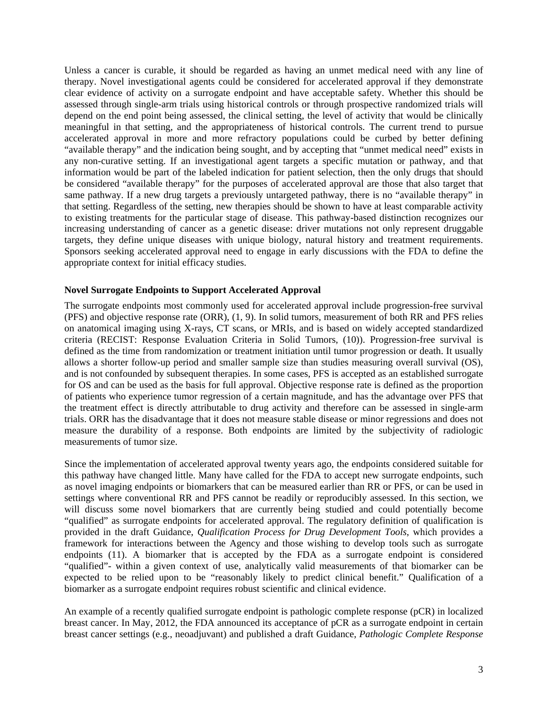Unless a cancer is curable, it should be regarded as having an unmet medical need with any line of therapy. Novel investigational agents could be considered for accelerated approval if they demonstrate clear evidence of activity on a surrogate endpoint and have acceptable safety. Whether this should be assessed through single-arm trials using historical controls or through prospective randomized trials will depend on the end point being assessed, the clinical setting, the level of activity that would be clinically meaningful in that setting, and the appropriateness of historical controls. The current trend to pursue accelerated approval in more and more refractory populations could be curbed by better defining "available therapy" and the indication being sought, and by accepting that "unmet medical need" exists in any non-curative setting. If an investigational agent targets a specific mutation or pathway, and that information would be part of the labeled indication for patient selection, then the only drugs that should be considered "available therapy" for the purposes of accelerated approval are those that also target that same pathway. If a new drug targets a previously untargeted pathway, there is no "available therapy" in that setting. Regardless of the setting, new therapies should be shown to have at least comparable activity to existing treatments for the particular stage of disease. This pathway-based distinction recognizes our increasing understanding of cancer as a genetic disease: driver mutations not only represent druggable targets, they define unique diseases with unique biology, natural history and treatment requirements. Sponsors seeking accelerated approval need to engage in early discussions with the FDA to define the appropriate context for initial efficacy studies.

#### **Novel Surrogate Endpoints to Support Accelerated Approval**

The surrogate endpoints most commonly used for accelerated approval include progression-free survival (PFS) and objective response rate (ORR), (1, 9). In solid tumors, measurement of both RR and PFS relies on anatomical imaging using X-rays, CT scans, or MRIs, and is based on widely accepted standardized criteria (RECIST: Response Evaluation Criteria in Solid Tumors, (10)). Progression-free survival is defined as the time from randomization or treatment initiation until tumor progression or death. It usually allows a shorter follow-up period and smaller sample size than studies measuring overall survival (OS), and is not confounded by subsequent therapies. In some cases, PFS is accepted as an established surrogate for OS and can be used as the basis for full approval. Objective response rate is defined as the proportion of patients who experience tumor regression of a certain magnitude, and has the advantage over PFS that the treatment effect is directly attributable to drug activity and therefore can be assessed in single-arm trials. ORR has the disadvantage that it does not measure stable disease or minor regressions and does not measure the durability of a response. Both endpoints are limited by the subjectivity of radiologic measurements of tumor size.

Since the implementation of accelerated approval twenty years ago, the endpoints considered suitable for this pathway have changed little. Many have called for the FDA to accept new surrogate endpoints, such as novel imaging endpoints or biomarkers that can be measured earlier than RR or PFS, or can be used in settings where conventional RR and PFS cannot be readily or reproducibly assessed. In this section, we will discuss some novel biomarkers that are currently being studied and could potentially become "qualified" as surrogate endpoints for accelerated approval. The regulatory definition of qualification is provided in the draft Guidance, *Qualification Process for Drug Development Tools*, which provides a framework for interactions between the Agency and those wishing to develop tools such as surrogate endpoints (11). A biomarker that is accepted by the FDA as a surrogate endpoint is considered "qualified"- within a given context of use, analytically valid measurements of that biomarker can be expected to be relied upon to be "reasonably likely to predict clinical benefit." Qualification of a biomarker as a surrogate endpoint requires robust scientific and clinical evidence.

An example of a recently qualified surrogate endpoint is pathologic complete response (pCR) in localized breast cancer. In May, 2012, the FDA announced its acceptance of pCR as a surrogate endpoint in certain breast cancer settings (e.g., neoadjuvant) and published a draft Guidance, *Pathologic Complete Response*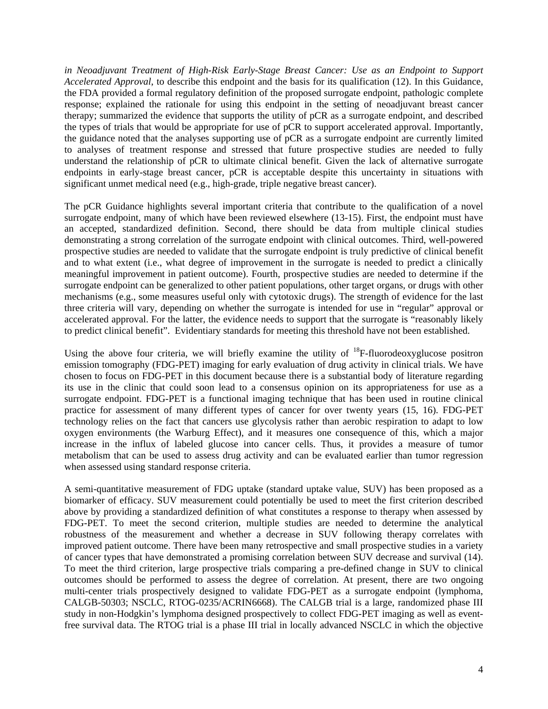*in Neoadjuvant Treatment of High-Risk Early-Stage Breast Cancer: Use as an Endpoint to Support Accelerated Approval*, to describe this endpoint and the basis for its qualification (12). In this Guidance, the FDA provided a formal regulatory definition of the proposed surrogate endpoint, pathologic complete response; explained the rationale for using this endpoint in the setting of neoadjuvant breast cancer therapy; summarized the evidence that supports the utility of pCR as a surrogate endpoint, and described the types of trials that would be appropriate for use of pCR to support accelerated approval. Importantly, the guidance noted that the analyses supporting use of pCR as a surrogate endpoint are currently limited to analyses of treatment response and stressed that future prospective studies are needed to fully understand the relationship of pCR to ultimate clinical benefit. Given the lack of alternative surrogate endpoints in early-stage breast cancer, pCR is acceptable despite this uncertainty in situations with significant unmet medical need (e.g., high-grade, triple negative breast cancer).

The pCR Guidance highlights several important criteria that contribute to the qualification of a novel surrogate endpoint, many of which have been reviewed elsewhere (13-15). First, the endpoint must have an accepted, standardized definition. Second, there should be data from multiple clinical studies demonstrating a strong correlation of the surrogate endpoint with clinical outcomes. Third, well-powered prospective studies are needed to validate that the surrogate endpoint is truly predictive of clinical benefit and to what extent (i.e., what degree of improvement in the surrogate is needed to predict a clinically meaningful improvement in patient outcome). Fourth, prospective studies are needed to determine if the surrogate endpoint can be generalized to other patient populations, other target organs, or drugs with other mechanisms (e.g., some measures useful only with cytotoxic drugs). The strength of evidence for the last three criteria will vary, depending on whether the surrogate is intended for use in "regular" approval or accelerated approval. For the latter, the evidence needs to support that the surrogate is "reasonably likely to predict clinical benefit". Evidentiary standards for meeting this threshold have not been established.

Using the above four criteria, we will briefly examine the utility of <sup>18</sup>F-fluorodeoxyglucose positron emission tomography (FDG-PET) imaging for early evaluation of drug activity in clinical trials. We have chosen to focus on FDG-PET in this document because there is a substantial body of literature regarding its use in the clinic that could soon lead to a consensus opinion on its appropriateness for use as a surrogate endpoint. FDG-PET is a functional imaging technique that has been used in routine clinical practice for assessment of many different types of cancer for over twenty years (15, 16). FDG-PET technology relies on the fact that cancers use glycolysis rather than aerobic respiration to adapt to low oxygen environments (the Warburg Effect), and it measures one consequence of this, which a major increase in the influx of labeled glucose into cancer cells. Thus, it provides a measure of tumor metabolism that can be used to assess drug activity and can be evaluated earlier than tumor regression when assessed using standard response criteria.

A semi-quantitative measurement of FDG uptake (standard uptake value, SUV) has been proposed as a biomarker of efficacy. SUV measurement could potentially be used to meet the first criterion described above by providing a standardized definition of what constitutes a response to therapy when assessed by FDG-PET. To meet the second criterion, multiple studies are needed to determine the analytical robustness of the measurement and whether a decrease in SUV following therapy correlates with improved patient outcome. There have been many retrospective and small prospective studies in a variety of cancer types that have demonstrated a promising correlation between SUV decrease and survival (14). To meet the third criterion, large prospective trials comparing a pre-defined change in SUV to clinical outcomes should be performed to assess the degree of correlation. At present, there are two ongoing multi-center trials prospectively designed to validate FDG-PET as a surrogate endpoint (lymphoma, CALGB-50303; NSCLC, RTOG-0235/ACRIN6668). The CALGB trial is a large, randomized phase III study in non-Hodgkin's lymphoma designed prospectively to collect FDG-PET imaging as well as eventfree survival data. The RTOG trial is a phase III trial in locally advanced NSCLC in which the objective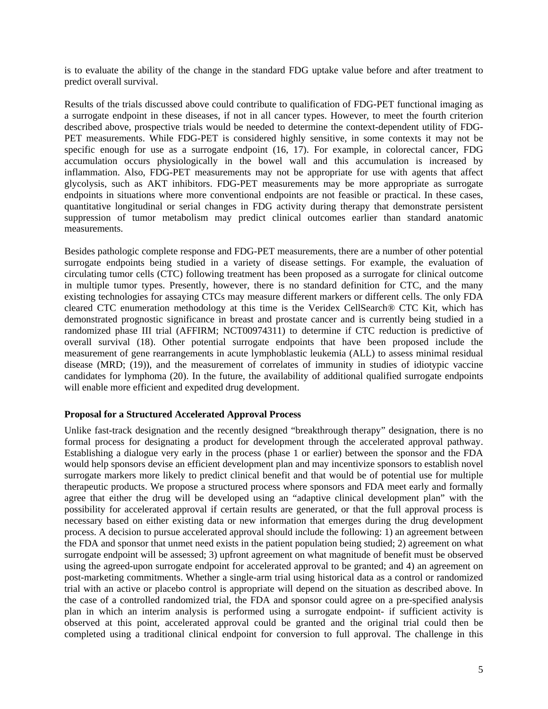is to evaluate the ability of the change in the standard FDG uptake value before and after treatment to predict overall survival.

Results of the trials discussed above could contribute to qualification of FDG-PET functional imaging as a surrogate endpoint in these diseases, if not in all cancer types. However, to meet the fourth criterion described above, prospective trials would be needed to determine the context-dependent utility of FDG-PET measurements. While FDG-PET is considered highly sensitive, in some contexts it may not be specific enough for use as a surrogate endpoint (16, 17). For example, in colorectal cancer, FDG accumulation occurs physiologically in the bowel wall and this accumulation is increased by inflammation. Also, FDG-PET measurements may not be appropriate for use with agents that affect glycolysis, such as AKT inhibitors. FDG-PET measurements may be more appropriate as surrogate endpoints in situations where more conventional endpoints are not feasible or practical. In these cases, quantitative longitudinal or serial changes in FDG activity during therapy that demonstrate persistent suppression of tumor metabolism may predict clinical outcomes earlier than standard anatomic measurements.

Besides pathologic complete response and FDG-PET measurements, there are a number of other potential surrogate endpoints being studied in a variety of disease settings. For example, the evaluation of circulating tumor cells (CTC) following treatment has been proposed as a surrogate for clinical outcome in multiple tumor types. Presently, however, there is no standard definition for CTC, and the many existing technologies for assaying CTCs may measure different markers or different cells. The only FDA cleared CTC enumeration methodology at this time is the Veridex CellSearch® CTC Kit, which has demonstrated prognostic significance in breast and prostate cancer and is currently being studied in a randomized phase III trial (AFFIRM; NCT00974311) to determine if CTC reduction is predictive of overall survival (18). Other potential surrogate endpoints that have been proposed include the measurement of gene rearrangements in acute lymphoblastic leukemia (ALL) to assess minimal residual disease (MRD; (19)), and the measurement of correlates of immunity in studies of idiotypic vaccine candidates for lymphoma (20). In the future, the availability of additional qualified surrogate endpoints will enable more efficient and expedited drug development.

### **Proposal for a Structured Accelerated Approval Process**

Unlike fast-track designation and the recently designed "breakthrough therapy" designation, there is no formal process for designating a product for development through the accelerated approval pathway. Establishing a dialogue very early in the process (phase 1 or earlier) between the sponsor and the FDA would help sponsors devise an efficient development plan and may incentivize sponsors to establish novel surrogate markers more likely to predict clinical benefit and that would be of potential use for multiple therapeutic products. We propose a structured process where sponsors and FDA meet early and formally agree that either the drug will be developed using an "adaptive clinical development plan" with the possibility for accelerated approval if certain results are generated, or that the full approval process is necessary based on either existing data or new information that emerges during the drug development process. A decision to pursue accelerated approval should include the following: 1) an agreement between the FDA and sponsor that unmet need exists in the patient population being studied; 2) agreement on what surrogate endpoint will be assessed; 3) upfront agreement on what magnitude of benefit must be observed using the agreed-upon surrogate endpoint for accelerated approval to be granted; and 4) an agreement on post-marketing commitments. Whether a single-arm trial using historical data as a control or randomized trial with an active or placebo control is appropriate will depend on the situation as described above. In the case of a controlled randomized trial, the FDA and sponsor could agree on a pre-specified analysis plan in which an interim analysis is performed using a surrogate endpoint- if sufficient activity is observed at this point, accelerated approval could be granted and the original trial could then be completed using a traditional clinical endpoint for conversion to full approval. The challenge in this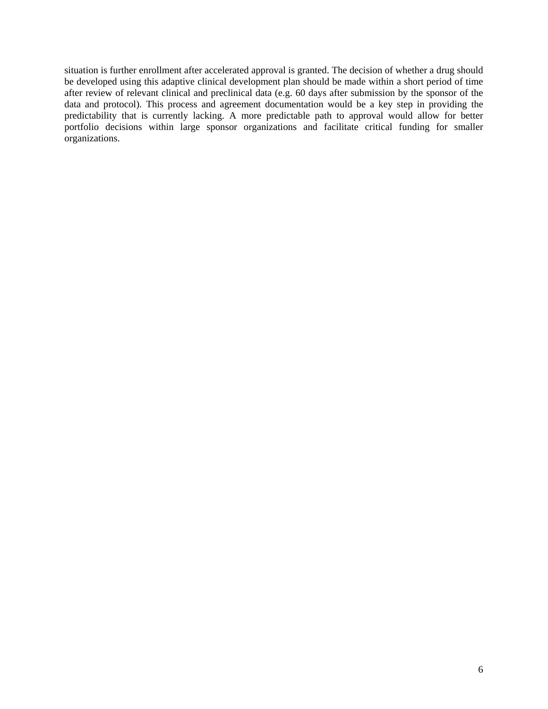situation is further enrollment after accelerated approval is granted. The decision of whether a drug should be developed using this adaptive clinical development plan should be made within a short period of time after review of relevant clinical and preclinical data (e.g. 60 days after submission by the sponsor of the data and protocol). This process and agreement documentation would be a key step in providing the predictability that is currently lacking. A more predictable path to approval would allow for better portfolio decisions within large sponsor organizations and facilitate critical funding for smaller organizations.